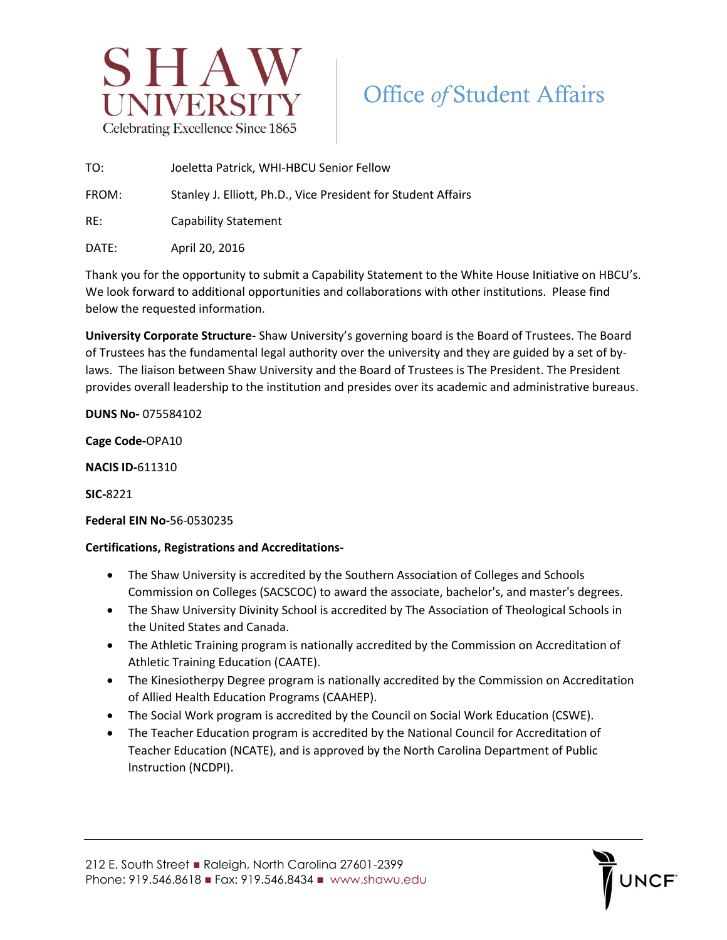

## Office *of* Student Affairs

TO: Joeletta Patrick, WHI-HBCU Senior Fellow

FROM: Stanley J. Elliott, Ph.D., Vice President for Student Affairs

RE: Capability Statement

DATE: April 20, 2016

Thank you for the opportunity to submit a Capability Statement to the White House Initiative on HBCU's. We look forward to additional opportunities and collaborations with other institutions. Please find below the requested information.

**University Corporate Structure-** Shaw University's governing board is the Board of Trustees. The Board of Trustees has the fundamental legal authority over the university and they are guided by a set of bylaws. The liaison between Shaw University and the Board of Trustees is The President. The President provides overall leadership to the institution and presides over its academic and administrative bureaus.

**DUNS No-** 075584102

**Cage Code-**OPA10

**NACIS ID-**611310

**SIC-**8221

## **Federal EIN No-**56-0530235

## **Certifications, Registrations and Accreditations-**

- The Shaw University is accredited by the Southern Association of Colleges and Schools Commission on Colleges (SACSCOC) to award the associate, bachelor's, and master's degrees.
- The Shaw University Divinity School is accredited by The Association of Theological Schools in the United States and Canada.
- The Athletic Training program is nationally accredited by the Commission on Accreditation of Athletic Training Education (CAATE).
- The Kinesiotherpy Degree program is nationally accredited by the Commission on Accreditation of Allied Health Education Programs (CAAHEP).
- The Social Work program is accredited by the Council on Social Work Education (CSWE).
- The Teacher Education program is accredited by the National Council for Accreditation of Teacher Education (NCATE), and is approved by the North Carolina Department of Public Instruction (NCDPI).